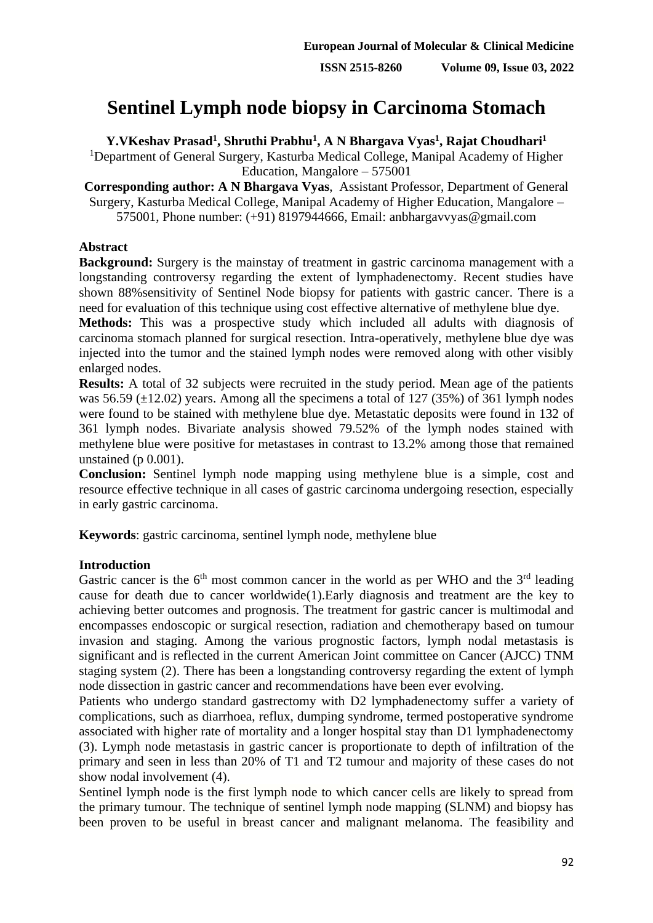# **Sentinel Lymph node biopsy in Carcinoma Stomach**

**Y.VKeshav Prasad<sup>1</sup> , Shruthi Prabhu<sup>1</sup> , A N Bhargava Vyas<sup>1</sup> , Rajat Choudhari<sup>1</sup>**

<sup>1</sup>Department of General Surgery, Kasturba Medical College, Manipal Academy of Higher Education, Mangalore – 575001

**Corresponding author: A N Bhargava Vyas**, Assistant Professor, Department of General Surgery, Kasturba Medical College, Manipal Academy of Higher Education, Mangalore – 575001, Phone number: (+91) 8197944666, Email: anbhargavvyas@gmail.com

## **Abstract**

**Background:** Surgery is the mainstay of treatment in gastric carcinoma management with a longstanding controversy regarding the extent of lymphadenectomy. Recent studies have shown 88%sensitivity of Sentinel Node biopsy for patients with gastric cancer. There is a need for evaluation of this technique using cost effective alternative of methylene blue dye.

**Methods:** This was a prospective study which included all adults with diagnosis of carcinoma stomach planned for surgical resection. Intra-operatively, methylene blue dye was injected into the tumor and the stained lymph nodes were removed along with other visibly enlarged nodes.

**Results:** A total of 32 subjects were recruited in the study period. Mean age of the patients was 56.59  $(\pm 12.02)$  years. Among all the specimens a total of 127 (35%) of 361 lymph nodes were found to be stained with methylene blue dye. Metastatic deposits were found in 132 of 361 lymph nodes. Bivariate analysis showed 79.52% of the lymph nodes stained with methylene blue were positive for metastases in contrast to 13.2% among those that remained unstained (p 0.001).

**Conclusion:** Sentinel lymph node mapping using methylene blue is a simple, cost and resource effective technique in all cases of gastric carcinoma undergoing resection, especially in early gastric carcinoma.

**Keywords**: gastric carcinoma, sentinel lymph node, methylene blue

# **Introduction**

Gastric cancer is the  $6<sup>th</sup>$  most common cancer in the world as per WHO and the  $3<sup>rd</sup>$  leading cause for death due to cancer worldwide(1).Early diagnosis and treatment are the key to achieving better outcomes and prognosis. The treatment for gastric cancer is multimodal and encompasses endoscopic or surgical resection, radiation and chemotherapy based on tumour invasion and staging. Among the various prognostic factors, lymph nodal metastasis is significant and is reflected in the current American Joint committee on Cancer (AJCC) TNM staging system (2). There has been a longstanding controversy regarding the extent of lymph node dissection in gastric cancer and recommendations have been ever evolving.

Patients who undergo standard gastrectomy with D2 lymphadenectomy suffer a variety of complications, such as diarrhoea, reflux, dumping syndrome, termed postoperative syndrome associated with higher rate of mortality and a longer hospital stay than D1 lymphadenectomy (3). Lymph node metastasis in gastric cancer is proportionate to depth of infiltration of the primary and seen in less than 20% of T1 and T2 tumour and majority of these cases do not show nodal involvement (4).

Sentinel lymph node is the first lymph node to which cancer cells are likely to spread from the primary tumour. The technique of sentinel lymph node mapping (SLNM) and biopsy has been proven to be useful in breast cancer and malignant melanoma. The feasibility and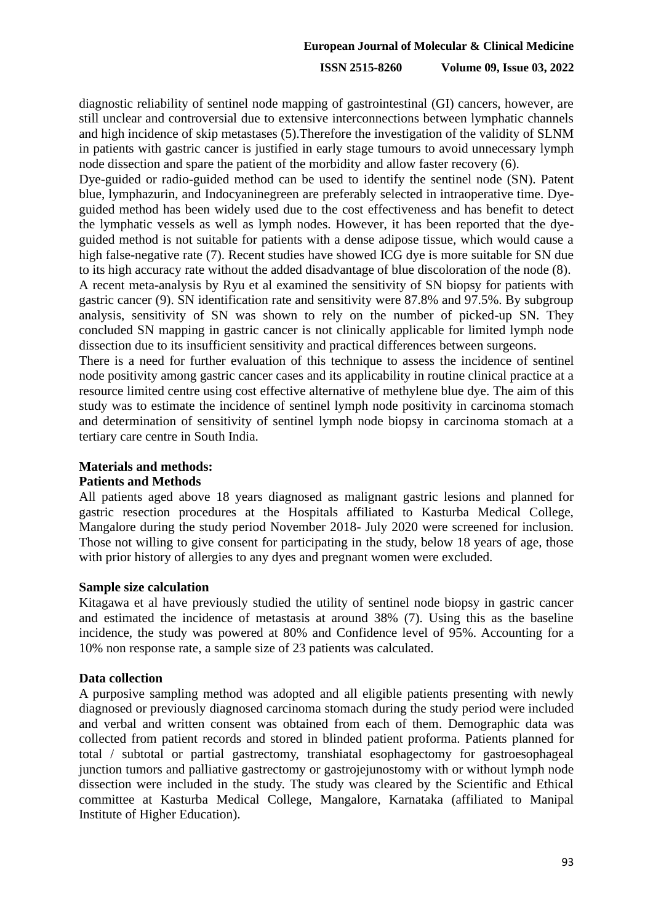## **ISSN 2515-8260 Volume 09, Issue 03, 2022**

diagnostic reliability of sentinel node mapping of gastrointestinal (GI) cancers, however, are still unclear and controversial due to extensive interconnections between lymphatic channels and high incidence of skip metastases (5).Therefore the investigation of the validity of SLNM in patients with gastric cancer is justified in early stage tumours to avoid unnecessary lymph node dissection and spare the patient of the morbidity and allow faster recovery (6).

Dye-guided or radio-guided method can be used to identify the sentinel node (SN). Patent blue, lymphazurin, and Indocyaninegreen are preferably selected in intraoperative time. Dyeguided method has been widely used due to the cost effectiveness and has benefit to detect the lymphatic vessels as well as lymph nodes. However, it has been reported that the dyeguided method is not suitable for patients with a dense adipose tissue, which would cause a high false-negative rate (7). Recent studies have showed ICG dye is more suitable for SN due to its high accuracy rate without the added disadvantage of blue discoloration of the node (8). A recent meta-analysis by Ryu et al examined the sensitivity of SN biopsy for patients with

gastric cancer (9). SN identification rate and sensitivity were 87.8% and 97.5%. By subgroup analysis, sensitivity of SN was shown to rely on the number of picked-up SN. They concluded SN mapping in gastric cancer is not clinically applicable for limited lymph node dissection due to its insufficient sensitivity and practical differences between surgeons.

There is a need for further evaluation of this technique to assess the incidence of sentinel node positivity among gastric cancer cases and its applicability in routine clinical practice at a resource limited centre using cost effective alternative of methylene blue dye. The aim of this study was to estimate the incidence of sentinel lymph node positivity in carcinoma stomach and determination of sensitivity of sentinel lymph node biopsy in carcinoma stomach at a tertiary care centre in South India.

# **Materials and methods:**

# **Patients and Methods**

All patients aged above 18 years diagnosed as malignant gastric lesions and planned for gastric resection procedures at the Hospitals affiliated to Kasturba Medical College, Mangalore during the study period November 2018- July 2020 were screened for inclusion. Those not willing to give consent for participating in the study, below 18 years of age, those with prior history of allergies to any dyes and pregnant women were excluded.

## **Sample size calculation**

Kitagawa et al have previously studied the utility of sentinel node biopsy in gastric cancer and estimated the incidence of metastasis at around 38% (7). Using this as the baseline incidence, the study was powered at 80% and Confidence level of 95%. Accounting for a 10% non response rate, a sample size of 23 patients was calculated.

## **Data collection**

A purposive sampling method was adopted and all eligible patients presenting with newly diagnosed or previously diagnosed carcinoma stomach during the study period were included and verbal and written consent was obtained from each of them. Demographic data was collected from patient records and stored in blinded patient proforma. Patients planned for total / subtotal or partial gastrectomy, transhiatal esophagectomy for gastroesophageal junction tumors and palliative gastrectomy or gastrojejunostomy with or without lymph node dissection were included in the study. The study was cleared by the Scientific and Ethical committee at Kasturba Medical College, Mangalore, Karnataka (affiliated to Manipal Institute of Higher Education).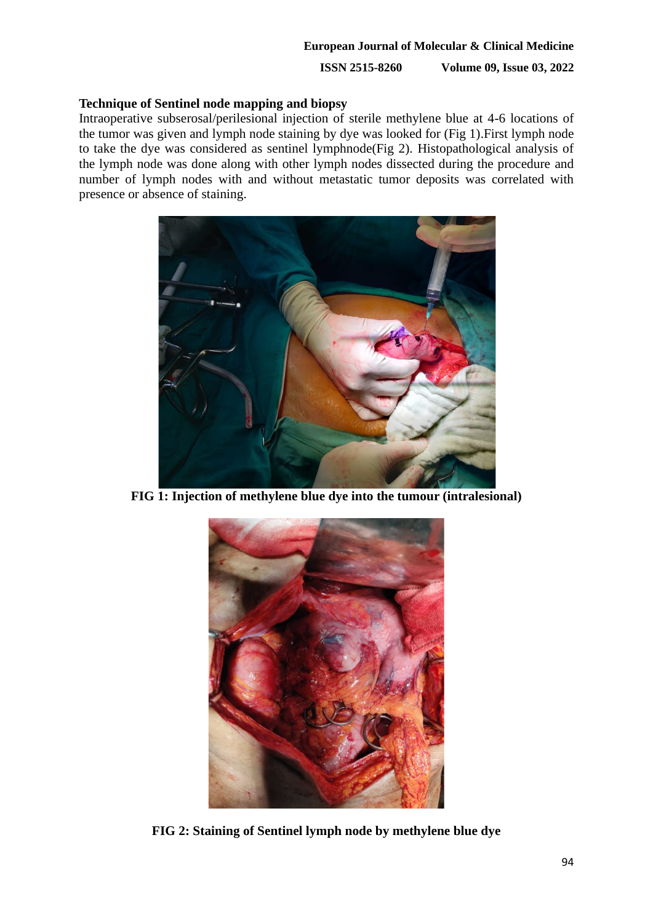**ISSN 2515-8260 Volume 09, Issue 03, 2022**

## **Technique of Sentinel node mapping and biopsy**

Intraoperative subserosal/perilesional injection of sterile methylene blue at 4-6 locations of the tumor was given and lymph node staining by dye was looked for (Fig 1).First lymph node to take the dye was considered as sentinel lymphnode(Fig 2). Histopathological analysis of the lymph node was done along with other lymph nodes dissected during the procedure and number of lymph nodes with and without metastatic tumor deposits was correlated with presence or absence of staining.



**FIG 1: Injection of methylene blue dye into the tumour (intralesional)**



**FIG 2: Staining of Sentinel lymph node by methylene blue dye**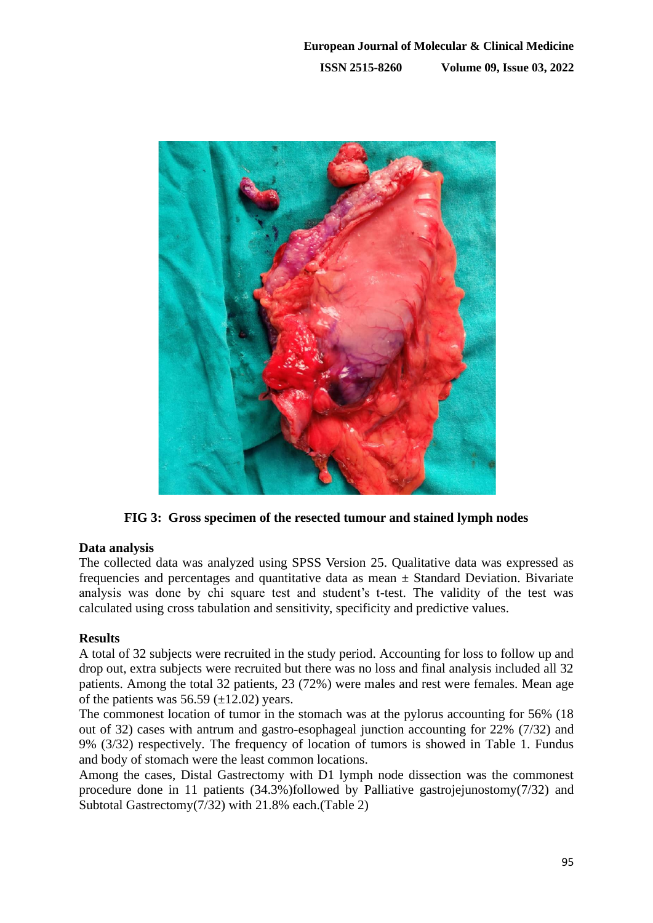

**FIG 3: Gross specimen of the resected tumour and stained lymph nodes**

# **Data analysis**

The collected data was analyzed using SPSS Version 25. Qualitative data was expressed as frequencies and percentages and quantitative data as mean  $\pm$  Standard Deviation. Bivariate analysis was done by chi square test and student's t-test. The validity of the test was calculated using cross tabulation and sensitivity, specificity and predictive values.

## **Results**

A total of 32 subjects were recruited in the study period. Accounting for loss to follow up and drop out, extra subjects were recruited but there was no loss and final analysis included all 32 patients. Among the total 32 patients, 23 (72%) were males and rest were females. Mean age of the patients was  $56.59 \ (\pm 12.02)$  years.

The commonest location of tumor in the stomach was at the pylorus accounting for 56% (18 out of 32) cases with antrum and gastro-esophageal junction accounting for 22% (7/32) and 9% (3/32) respectively. The frequency of location of tumors is showed in Table 1. Fundus and body of stomach were the least common locations.

Among the cases, Distal Gastrectomy with D1 lymph node dissection was the commonest procedure done in 11 patients (34.3%)followed by Palliative gastrojejunostomy(7/32) and Subtotal Gastrectomy(7/32) with 21.8% each.(Table 2)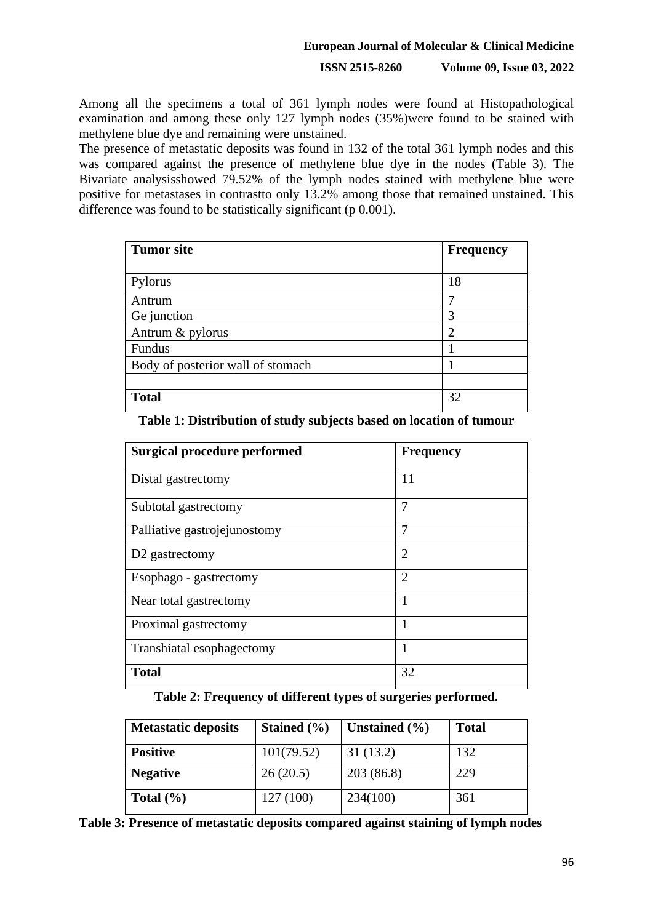## **European Journal of Molecular & Clinical Medicine**

## **ISSN 2515-8260 Volume 09, Issue 03, 2022**

Among all the specimens a total of 361 lymph nodes were found at Histopathological examination and among these only 127 lymph nodes (35%)were found to be stained with methylene blue dye and remaining were unstained.

The presence of metastatic deposits was found in 132 of the total 361 lymph nodes and this was compared against the presence of methylene blue dye in the nodes (Table 3). The Bivariate analysisshowed 79.52% of the lymph nodes stained with methylene blue were positive for metastases in contrastto only 13.2% among those that remained unstained. This difference was found to be statistically significant (p 0.001).

| <b>Tumor site</b>                 | <b>Frequency</b> |
|-----------------------------------|------------------|
| Pylorus                           | 18               |
| Antrum                            |                  |
| Ge junction                       | 3                |
| Antrum & pylorus                  | ◠                |
| Fundus                            |                  |
| Body of posterior wall of stomach |                  |
|                                   |                  |
| <b>Total</b>                      | 32               |

| <b>Surgical procedure performed</b> | <b>Frequency</b> |
|-------------------------------------|------------------|
| Distal gastrectomy                  | 11               |
| Subtotal gastrectomy                | 7                |
| Palliative gastrojejunostomy        | 7                |
| D <sub>2</sub> gastrectomy          | $\mathfrak{D}$   |
| Esophago - gastrectomy              | $\overline{2}$   |
| Near total gastrectomy              |                  |
| Proximal gastrectomy                |                  |
| Transhiatal esophagectomy           | 1                |
| <b>Total</b>                        | 32               |

**Table 1: Distribution of study subjects based on location of tumour**

## **Table 2: Frequency of different types of surgeries performed.**

| <b>Metastatic deposits</b> | Stained (%) | Unstained $(\% )$ | <b>Total</b> |
|----------------------------|-------------|-------------------|--------------|
| <b>Positive</b>            | 101(79.52)  | 31(13.2)          | 132          |
| <b>Negative</b>            | 26(20.5)    | 203(86.8)         | 229          |
| Total $(\% )$              | 127(100)    | 234(100)          | 361          |

**Table 3: Presence of metastatic deposits compared against staining of lymph nodes**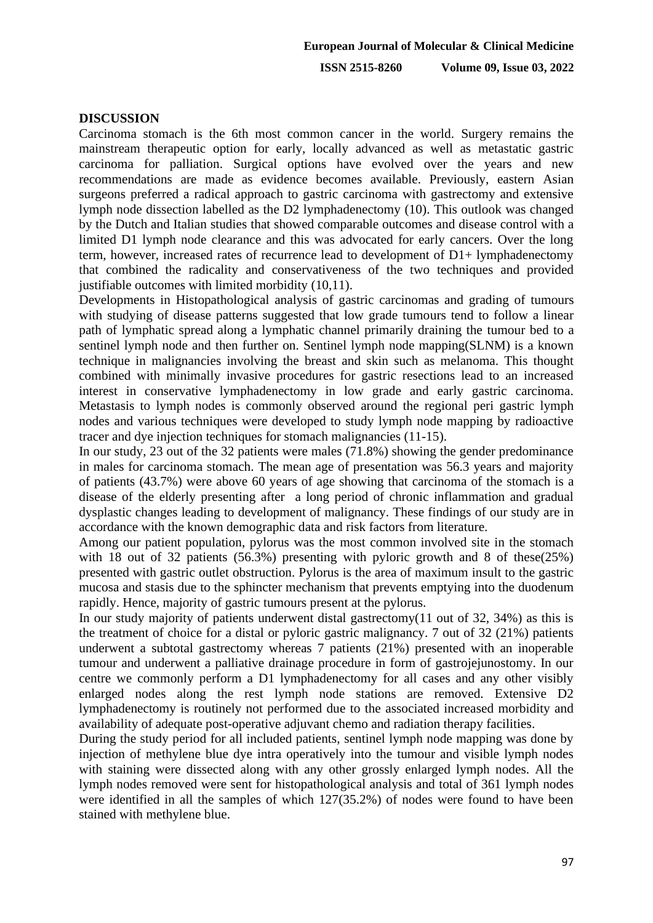**ISSN 2515-8260 Volume 09, Issue 03, 2022**

## **DISCUSSION**

Carcinoma stomach is the 6th most common cancer in the world. Surgery remains the mainstream therapeutic option for early, locally advanced as well as metastatic gastric carcinoma for palliation. Surgical options have evolved over the years and new recommendations are made as evidence becomes available. Previously, eastern Asian surgeons preferred a radical approach to gastric carcinoma with gastrectomy and extensive lymph node dissection labelled as the D2 lymphadenectomy (10). This outlook was changed by the Dutch and Italian studies that showed comparable outcomes and disease control with a limited D1 lymph node clearance and this was advocated for early cancers. Over the long term, however, increased rates of recurrence lead to development of D1+ lymphadenectomy that combined the radicality and conservativeness of the two techniques and provided justifiable outcomes with limited morbidity (10,11).

Developments in Histopathological analysis of gastric carcinomas and grading of tumours with studying of disease patterns suggested that low grade tumours tend to follow a linear path of lymphatic spread along a lymphatic channel primarily draining the tumour bed to a sentinel lymph node and then further on. Sentinel lymph node mapping(SLNM) is a known technique in malignancies involving the breast and skin such as melanoma. This thought combined with minimally invasive procedures for gastric resections lead to an increased interest in conservative lymphadenectomy in low grade and early gastric carcinoma. Metastasis to lymph nodes is commonly observed around the regional peri gastric lymph nodes and various techniques were developed to study lymph node mapping by radioactive tracer and dye injection techniques for stomach malignancies (11-15).

In our study, 23 out of the 32 patients were males (71.8%) showing the gender predominance in males for carcinoma stomach. The mean age of presentation was 56.3 years and majority of patients (43.7%) were above 60 years of age showing that carcinoma of the stomach is a disease of the elderly presenting after a long period of chronic inflammation and gradual dysplastic changes leading to development of malignancy. These findings of our study are in accordance with the known demographic data and risk factors from literature.

Among our patient population, pylorus was the most common involved site in the stomach with 18 out of 32 patients (56.3%) presenting with pyloric growth and 8 of these(25%) presented with gastric outlet obstruction. Pylorus is the area of maximum insult to the gastric mucosa and stasis due to the sphincter mechanism that prevents emptying into the duodenum rapidly. Hence, majority of gastric tumours present at the pylorus.

In our study majority of patients underwent distal gastrectomy(11 out of 32, 34%) as this is the treatment of choice for a distal or pyloric gastric malignancy. 7 out of 32 (21%) patients underwent a subtotal gastrectomy whereas 7 patients (21%) presented with an inoperable tumour and underwent a palliative drainage procedure in form of gastrojejunostomy. In our centre we commonly perform a D1 lymphadenectomy for all cases and any other visibly enlarged nodes along the rest lymph node stations are removed. Extensive D2 lymphadenectomy is routinely not performed due to the associated increased morbidity and availability of adequate post-operative adjuvant chemo and radiation therapy facilities.

During the study period for all included patients, sentinel lymph node mapping was done by injection of methylene blue dye intra operatively into the tumour and visible lymph nodes with staining were dissected along with any other grossly enlarged lymph nodes. All the lymph nodes removed were sent for histopathological analysis and total of 361 lymph nodes were identified in all the samples of which 127(35.2%) of nodes were found to have been stained with methylene blue.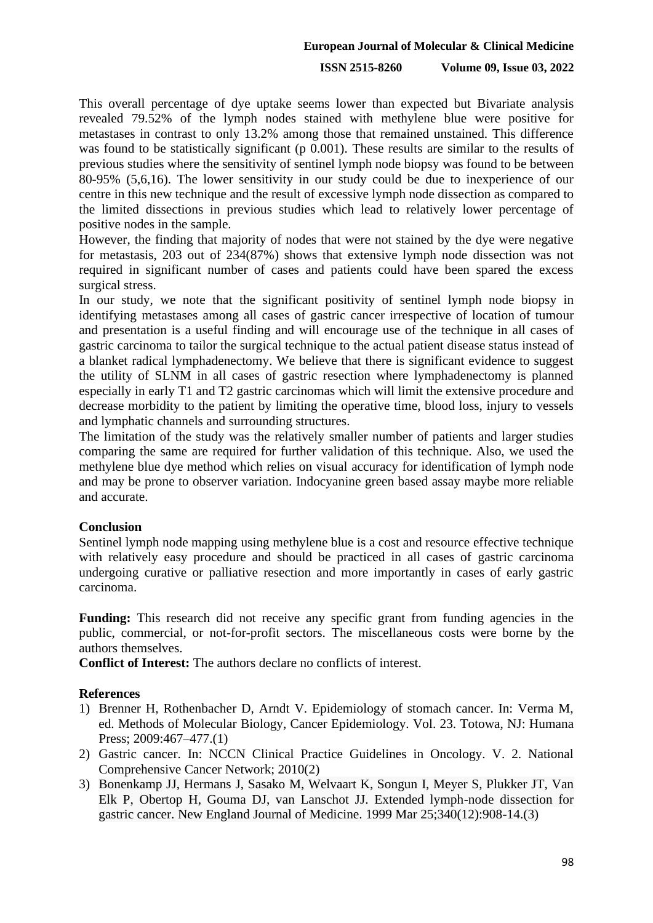#### **European Journal of Molecular & Clinical Medicine**

#### **ISSN 2515-8260 Volume 09, Issue 03, 2022**

This overall percentage of dye uptake seems lower than expected but Bivariate analysis revealed 79.52% of the lymph nodes stained with methylene blue were positive for metastases in contrast to only 13.2% among those that remained unstained. This difference was found to be statistically significant (p 0.001). These results are similar to the results of previous studies where the sensitivity of sentinel lymph node biopsy was found to be between 80-95% (5,6,16). The lower sensitivity in our study could be due to inexperience of our centre in this new technique and the result of excessive lymph node dissection as compared to the limited dissections in previous studies which lead to relatively lower percentage of positive nodes in the sample.

However, the finding that majority of nodes that were not stained by the dye were negative for metastasis, 203 out of 234(87%) shows that extensive lymph node dissection was not required in significant number of cases and patients could have been spared the excess surgical stress.

In our study, we note that the significant positivity of sentinel lymph node biopsy in identifying metastases among all cases of gastric cancer irrespective of location of tumour and presentation is a useful finding and will encourage use of the technique in all cases of gastric carcinoma to tailor the surgical technique to the actual patient disease status instead of a blanket radical lymphadenectomy. We believe that there is significant evidence to suggest the utility of SLNM in all cases of gastric resection where lymphadenectomy is planned especially in early T1 and T2 gastric carcinomas which will limit the extensive procedure and decrease morbidity to the patient by limiting the operative time, blood loss, injury to vessels and lymphatic channels and surrounding structures.

The limitation of the study was the relatively smaller number of patients and larger studies comparing the same are required for further validation of this technique. Also, we used the methylene blue dye method which relies on visual accuracy for identification of lymph node and may be prone to observer variation. Indocyanine green based assay maybe more reliable and accurate.

#### **Conclusion**

Sentinel lymph node mapping using methylene blue is a cost and resource effective technique with relatively easy procedure and should be practiced in all cases of gastric carcinoma undergoing curative or palliative resection and more importantly in cases of early gastric carcinoma.

**Funding:** This research did not receive any specific grant from funding agencies in the public, commercial, or not-for-profit sectors. The miscellaneous costs were borne by the authors themselves.

**Conflict of Interest:** The authors declare no conflicts of interest.

#### **References**

- 1) Brenner H, Rothenbacher D, Arndt V. Epidemiology of stomach cancer. In: Verma M, ed. Methods of Molecular Biology, Cancer Epidemiology. Vol. 23. Totowa, NJ: Humana Press; 2009:467-477.(1)
- 2) Gastric cancer. In: NCCN Clinical Practice Guidelines in Oncology. V. 2. National Comprehensive Cancer Network; 2010(2)
- 3) Bonenkamp JJ, Hermans J, Sasako M, Welvaart K, Songun I, Meyer S, Plukker JT, Van Elk P, Obertop H, Gouma DJ, van Lanschot JJ. Extended lymph-node dissection for gastric cancer. New England Journal of Medicine. 1999 Mar 25;340(12):908-14.(3)